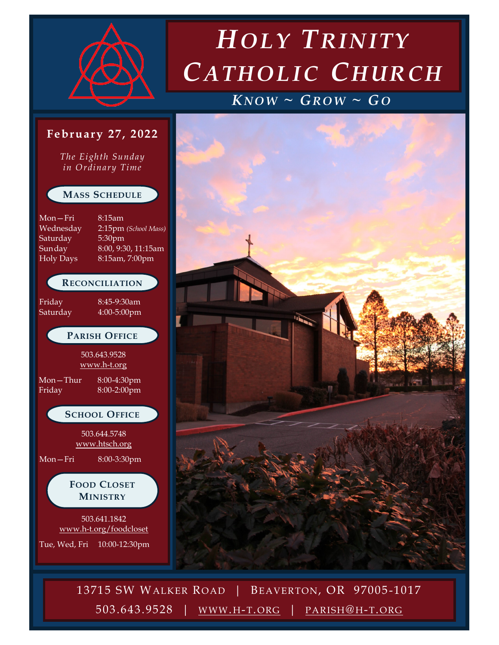

*The Eighth Sunday in Ordinary Time*

**MASS SCHEDULE**

**RECONCILIATION**

**PARISH OFFICE**

503.643.9528 [www.h-t.org](http://www.h-t.org)

**SCHOOL OFFICE**

503.644.5748 [www.htsch.org](http://www.htsch.org)

**FOOD CLOSET MINISTRY**

503.641.1842 [www.h-t.org/foodcloset](http://www.h-t.org/foodcloset)

Tue, Wed, Fri 10:00-12:30pm

Friday 8:45-9:30am Saturday 4:00-5:00pm

Mon—Thur 8:00-4:30pm Friday 8:00-2:00pm

Mon—Fri 8:00-3:30pm

Mon—Fri 8:15am

Saturday 5:30pm

# *H OLY TRINITY CATHOLIC CHURCH*

### $KNOW \sim$   $GROW \sim GO$



13715 SW WALKER ROAD | BEAVERTON, OR 97005 -1017 13715 SW WALKER ROAD | BEAVERTON, OR 97005 -1017 503.643.9528 | WWW. H-T.ORG | PARISH@ H-T.ORG 503.643.9528 | [WWW](http://www.h-t.org). H-T.ORG | [PARISH](mailto:parish@h-t.org)@ H-T.ORG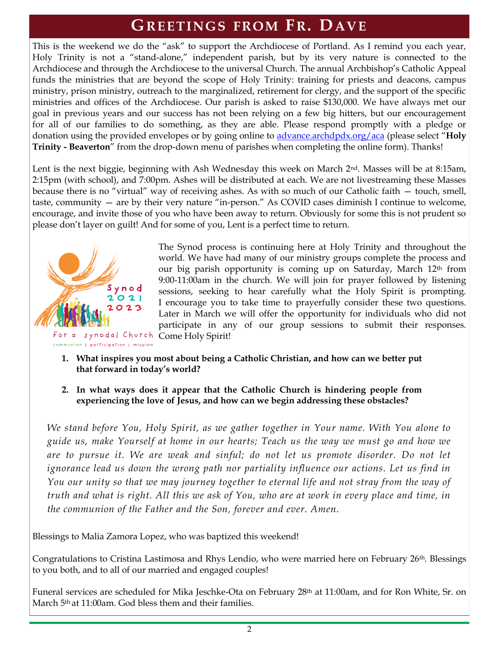### **GREETINGS FROM FR. DAVE**

This is the weekend we do the "ask" to support the Archdiocese of Portland. As I remind you each year, Holy Trinity is not a "stand-alone," independent parish, but by its very nature is connected to the Archdiocese and through the Archdiocese to the universal Church. The annual Archbishop's Catholic Appeal funds the ministries that are beyond the scope of Holy Trinity: training for priests and deacons, campus ministry, prison ministry, outreach to the marginalized, retirement for clergy, and the support of the specific ministries and offices of the Archdiocese. Our parish is asked to raise \$130,000. We have always met our goal in previous years and our success has not been relying on a few big hitters, but our encouragement for all of our families to do something, as they are able. Please respond promptly with a pledge or donation using the provided envelopes or by going online to [advance.archdpdx.org/aca](https://advance.archdpdx.org/aca) (please select "**Holy Trinity - Beaverton**" from the drop-down menu of parishes when completing the online form). Thanks!

Lent is the next biggie, beginning with Ash Wednesday this week on March  $2<sup>nd</sup>$ . Masses will be at 8:15am, 2:15pm (with school), and 7:00pm. Ashes will be distributed at each. We are not livestreaming these Masses because there is no "virtual" way of receiving ashes. As with so much of our Catholic faith — touch, smell, taste, community — are by their very nature "in-person." As COVID cases diminish I continue to welcome, encourage, and invite those of you who have been away to return. Obviously for some this is not prudent so please don't layer on guilt! And for some of you, Lent is a perfect time to return.



The Synod process is continuing here at Holy Trinity and throughout the world. We have had many of our ministry groups complete the process and our big parish opportunity is coming up on Saturday, March  $12<sup>th</sup>$  from 9:00-11:00am in the church. We will join for prayer followed by listening sessions, seeking to hear carefully what the Holy Spirit is prompting. I encourage you to take time to prayerfully consider these two questions. Later in March we will offer the opportunity for individuals who did not participate in any of our group sessions to submit their responses.

- **1. What inspires you most about being a Catholic Christian, and how can we better put that forward in today's world?**
- **2. In what ways does it appear that the Catholic Church is hindering people from experiencing the love of Jesus, and how can we begin addressing these obstacles?**

*We stand before You, Holy Spirit, as we gather together in Your name. With You alone to guide us, make Yourself at home in our hearts; Teach us the way we must go and how we are to pursue it. We are weak and sinful; do not let us promote disorder. Do not let ignorance lead us down the wrong path nor partiality influence our actions. Let us find in You our unity so that we may journey together to eternal life and not stray from the way of truth and what is right. All this we ask of You, who are at work in every place and time, in the communion of the Father and the Son, forever and ever. Amen.*

Blessings to Malia Zamora Lopez, who was baptized this weekend!

Congratulations to Cristina Lastimosa and Rhys Lendio, who were married here on February 26<sup>th</sup>. Blessings to you both, and to all of our married and engaged couples!

Funeral services are scheduled for Mika Jeschke-Ota on February 28th at 11:00am, and for Ron White, Sr. on March 5th at 11:00am. God bless them and their families.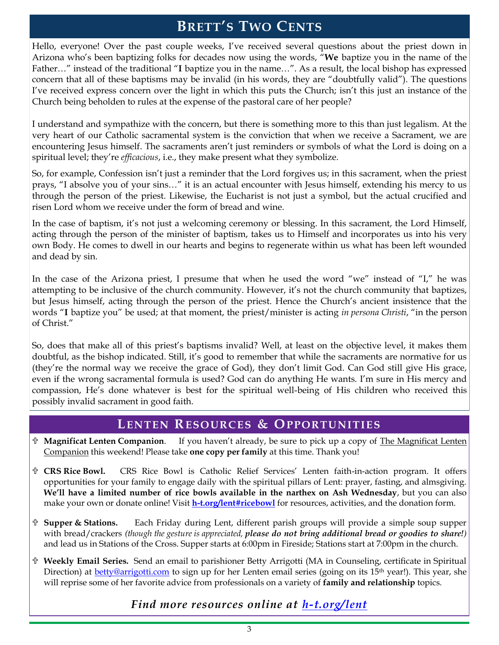### **BRETT'S TWO CENTS**

Hello, everyone! Over the past couple weeks, I've received several questions about the priest down in Arizona who's been baptizing folks for decades now using the words, "**We** baptize you in the name of the Father…" instead of the traditional "**I** baptize you in the name…". As a result, the local bishop has expressed concern that all of these baptisms may be invalid (in his words, they are "doubtfully valid"). The questions I've received express concern over the light in which this puts the Church; isn't this just an instance of the Church being beholden to rules at the expense of the pastoral care of her people?

I understand and sympathize with the concern, but there is something more to this than just legalism. At the very heart of our Catholic sacramental system is the conviction that when we receive a Sacrament, we are encountering Jesus himself. The sacraments aren't just reminders or symbols of what the Lord is doing on a spiritual level; they're *efficacious*, i.e., they make present what they symbolize.

So, for example, Confession isn't just a reminder that the Lord forgives us; in this sacrament, when the priest prays, "I absolve you of your sins…" it is an actual encounter with Jesus himself, extending his mercy to us through the person of the priest. Likewise, the Eucharist is not just a symbol, but the actual crucified and risen Lord whom we receive under the form of bread and wine.

In the case of baptism, it's not just a welcoming ceremony or blessing. In this sacrament, the Lord Himself, acting through the person of the minister of baptism, takes us to Himself and incorporates us into his very own Body. He comes to dwell in our hearts and begins to regenerate within us what has been left wounded and dead by sin.

In the case of the Arizona priest, I presume that when he used the word "we" instead of "I," he was attempting to be inclusive of the church community. However, it's not the church community that baptizes, but Jesus himself, acting through the person of the priest. Hence the Church's ancient insistence that the words "**I** baptize you" be used; at that moment, the priest/minister is acting *in persona Christi*, "in the person of Christ."

So, does that make all of this priest's baptisms invalid? Well, at least on the objective level, it makes them doubtful, as the bishop indicated. Still, it's good to remember that while the sacraments are normative for us (they're the normal way we receive the grace of God), they don't limit God. Can God still give His grace, even if the wrong sacramental formula is used? God can do anything He wants. I'm sure in His mercy and compassion, He's done whatever is best for the spiritual well-being of His children who received this possibly invalid sacrament in good faith.

### **LENTEN RESOURCES & OPPORTUNITIES**

- **Magnificat Lenten Companion**. If you haven't already, be sure to pick up a copy of The Magnificat Lenten Companion this weekend! Please take **one copy per family** at this time. Thank you!
- **CRS Rice Bowl.** CRS Rice Bowl is Catholic Relief Services' Lenten faith-in-action program. It offers opportunities for your family to engage daily with the spiritual pillars of Lent: prayer, fasting, and almsgiving. **We'll have a limited number of rice bowls available in the narthex on Ash Wednesday**, but you can also make your own or donate online! Visit **[h-t.org/lent#ricebowl](https://www.h-t.org/lent#ricebowl)** for resources, activities, and the donation form.
- **Supper & Stations.** Each Friday during Lent, different parish groups will provide a simple soup supper with bread/crackers *(though the gesture is appreciated, please do not bring additional bread or goodies to share!)* and lead us in Stations of the Cross. Supper starts at 6:00pm in Fireside; Stations start at 7:00pm in the church.
- **Weekly Email Series.** Send an email to parishioner Betty Arrigotti (MA in Counseling, certificate in Spiritual Direction) at **[betty@arrigotti.com](mailto:betty@arrigotti.com)** to sign up for her Lenten email series (going on its 15<sup>th</sup> year!). This year, she will reprise some of her favorite advice from professionals on a variety of **family and relationship** topics.

### *Find more resources online at [h-t.org/lent](https://www.h-t.org/lent)*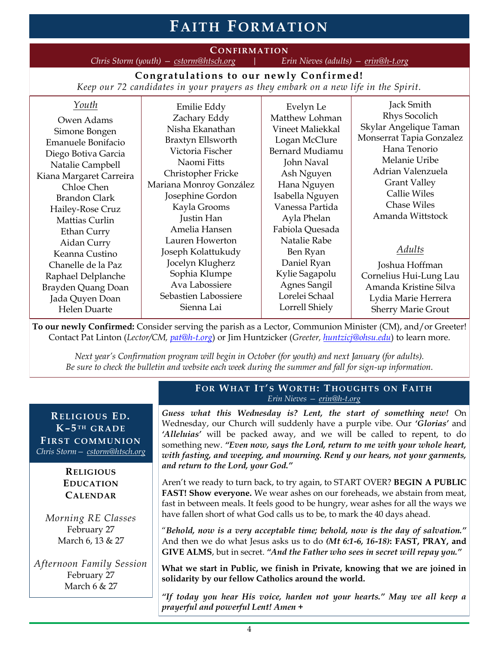## **FAITH F ORMATION**

**CONFIRMATION**<br> *Exch.org* | Erin Nieves (adults) – <u>erin@h-t.org</u> *Chris Storm (youth) — [cstorm@htsch.org](mailto:cstorm@htsch.org) | Erin Nieves (adults) — [erin@h-t.org](mailto:erin@h-t.org)*

**Congratulations to our newly Confirmed!**

*Keep our 72 candidates in your prayers as they embark on a new life in the Spirit.*

| Youth<br>Owen Adams<br>Simone Bongen<br>Emanuele Bonifacio<br>Diego Botiva Garcia<br>Natalie Campbell<br>Kiana Margaret Carreira<br>Chloe Chen<br><b>Brandon Clark</b><br>Hailey-Rose Cruz<br>Mattias Curlin<br>Ethan Curry<br>Aidan Curry<br>Keanna Custino | Emilie Eddy<br>Zachary Eddy<br>Nisha Ekanathan<br>Braxtyn Ellsworth<br>Victoria Fischer<br>Naomi Fitts<br>Christopher Fricke<br>Mariana Monroy González<br>Josephine Gordon<br>Kayla Grooms<br>Justin Han<br>Amelia Hansen<br>Lauren Howerton<br>Joseph Kolattukudy<br>Jocelyn Klugherz | Evelyn Le<br>Matthew Lohman<br>Vineet Maliekkal<br>Logan McClure<br>Bernard Mudiamu<br>John Naval<br>Ash Nguyen<br>Hana Nguyen<br>Isabella Nguyen<br>Vanessa Partida<br>Ayla Phelan<br>Fabiola Quesada<br>Natalie Rabe<br>Ben Ryan<br>Daniel Ryan | Jack Smith<br><b>Rhys Socolich</b><br>Skylar Angelique Taman<br>Monserrat Tapia Gonzalez<br>Hana Tenorio<br>Melanie Uribe<br>Adrian Valenzuela<br><b>Grant Valley</b><br><b>Callie Wiles</b><br><b>Chase Wiles</b><br>Amanda Wittstock<br>Adults |
|--------------------------------------------------------------------------------------------------------------------------------------------------------------------------------------------------------------------------------------------------------------|-----------------------------------------------------------------------------------------------------------------------------------------------------------------------------------------------------------------------------------------------------------------------------------------|---------------------------------------------------------------------------------------------------------------------------------------------------------------------------------------------------------------------------------------------------|--------------------------------------------------------------------------------------------------------------------------------------------------------------------------------------------------------------------------------------------------|
| Chanelle de la Paz<br>Raphael Delplanche<br>Brayden Quang Doan<br>Jada Quyen Doan<br>Helen Duarte                                                                                                                                                            | Sophia Klumpe<br>Ava Labossiere<br>Sebastien Labossiere<br>Sienna Lai                                                                                                                                                                                                                   | Kylie Sagapolu<br>Agnes Sangil<br>Lorelei Schaal<br>Lorrell Shiely                                                                                                                                                                                | Joshua Hoffman<br>Cornelius Hui-Lung Lau<br>Amanda Kristine Silva<br>Lydia Marie Herrera<br><b>Sherry Marie Grout</b>                                                                                                                            |

**To our newly Confirmed:** Consider serving the parish as a Lector, Communion Minister (CM), and/or Greeter! Contact Pat Linton (*Lector/CM, [pat@h-t.org](mailto:pat@h-t.org)*) or Jim Huntzicker (*Greeter, [huntzicj@ohsu.edu](mailto:huntzicj@ohsu.edu)*) to learn more.

*Next year's Confirmation program will begin in October (for youth) and next January (for adults). Be sure to check the bulletin and website each week during the summer and fall for sign-up information.*

#### **RELIGIOU S E D. K–5 TH GRA DE FIRST COMMU NION** *Chris Storm— [cstorm@htsch.org](mailto:cstorm@htsch.org)*

#### **RELIGIOUS EDUCATION CALENDAR**

*Morning RE Classes* February 27 March 6, 13 & 27

*Afternoon Family Session* February 27 March 6 & 27

#### **F OR WHAT IT' S WORTH: T HOUGHTS ON FAITH** *Erin Nieves — [erin@h-t.org](mailto:erin@h-t.org)*

*Guess what this Wednesday is? Lent, the start of something new!* On Wednesday, our Church will suddenly have a purple vibe. Our *'Glorias'* and *'Alleluias'* will be packed away, and we will be called to repent, to do something new. *"Even now, says the Lord, return to me with your whole heart, with fasting, and weeping, and mourning. Rend y our hears, not your garments, and return to the Lord, your God."*

Aren't we ready to turn back, to try again, to START OVER? **BEGIN A PUBLIC FAST! Show everyone.** We wear ashes on our foreheads, we abstain from meat, fast in between meals. It feels good to be hungry, wear ashes for all the ways we have fallen short of what God calls us to be, to mark the 40 days ahead.

"*Behold, now is a very acceptable time; behold, now is the day of salvation."*  And then we do what Jesus asks us to do *(Mt 6:1-6, 16-18)***: FAST, PRAY, and GIVE ALMS**, but in secret. *"And the Father who sees in secret will repay you."*

**What we start in Public, we finish in Private, knowing that we are joined in solidarity by our fellow Catholics around the world.**

*"If today you hear His voice, harden not your hearts." May we all keep a prayerful and powerful Lent! Amen* **+**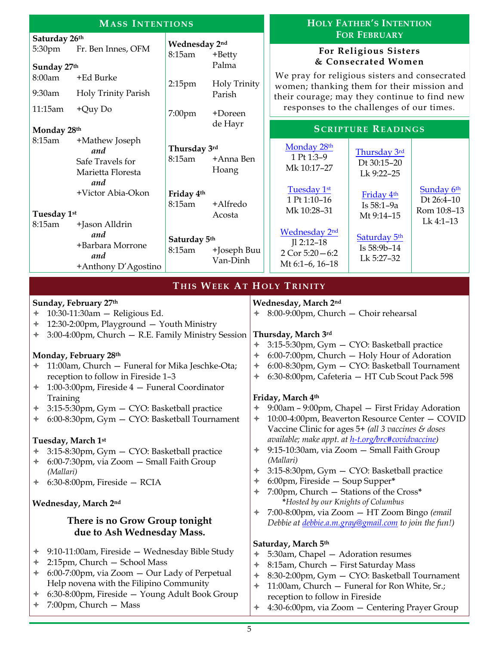| <b>MASS INTENTIONS</b>                                                                                                                                                                                                                                                                                                                                                                                                                                                                                                                                                                                                                                                      |                                                                                                                                                                   |                                                                                                                                                                                                 |                                                                                                                                                                                                                                                                                                                                                                                                                                                                                                                                                                                                                                                                                                                                                                                                              | <b>HOLY FATHER'S INTENTION</b>                                                                                                                                                                                                                      |                                                                                                                                                             |                                        |
|-----------------------------------------------------------------------------------------------------------------------------------------------------------------------------------------------------------------------------------------------------------------------------------------------------------------------------------------------------------------------------------------------------------------------------------------------------------------------------------------------------------------------------------------------------------------------------------------------------------------------------------------------------------------------------|-------------------------------------------------------------------------------------------------------------------------------------------------------------------|-------------------------------------------------------------------------------------------------------------------------------------------------------------------------------------------------|--------------------------------------------------------------------------------------------------------------------------------------------------------------------------------------------------------------------------------------------------------------------------------------------------------------------------------------------------------------------------------------------------------------------------------------------------------------------------------------------------------------------------------------------------------------------------------------------------------------------------------------------------------------------------------------------------------------------------------------------------------------------------------------------------------------|-----------------------------------------------------------------------------------------------------------------------------------------------------------------------------------------------------------------------------------------------------|-------------------------------------------------------------------------------------------------------------------------------------------------------------|----------------------------------------|
| Saturday 26th<br>5:30pm<br>Sunday 27th<br>8:00am<br>9:30am<br>11:15am<br>Monday 28th<br>8:15am                                                                                                                                                                                                                                                                                                                                                                                                                                                                                                                                                                              | Fr. Ben Innes, OFM<br>+Ed Burke<br>Holy Trinity Parish<br>$+Quy$ Do<br>+Mathew Joseph<br>and<br>Safe Travels for<br>Marietta Floresta<br>and<br>+Victor Abia-Okon | Wednesday 2nd<br>8:15am<br>+Betty<br>Palma<br><b>Holy Trinity</b><br>2:15 <sub>pm</sub><br>Parish<br>7:00pm<br>+Doreen<br>de Hayr<br>Thursday 3rd<br>8:15am<br>+Anna Ben<br>Hoang<br>Friday 4th |                                                                                                                                                                                                                                                                                                                                                                                                                                                                                                                                                                                                                                                                                                                                                                                                              | We pray for religious sisters and consecrated<br>women; thanking them for their mission and<br>their courage; may they continue to find new<br>responses to the challenges of our times.<br>Monday 28th<br>1 Pt 1:3-9<br>Mk 10:17-27<br>Tuesday 1st | <b>FOR FEBRUARY</b><br>For Religious Sisters<br>& Consecrated Women<br><b>SCRIPTURE READINGS</b><br>Thursday 3rd<br>Dt 30:15-20<br>Lk 9:22-25<br>Friday 4th | Sunday 6th                             |
| Tuesday 1st<br>8:15am                                                                                                                                                                                                                                                                                                                                                                                                                                                                                                                                                                                                                                                       | +Jason Alldrin<br>and<br>+Barbara Morrone<br>and<br>+Anthony D'Agostino                                                                                           | 8:15am<br>+Alfredo<br>Acosta<br>Saturday 5th<br>8:15am<br>+Joseph Buu<br>Van-Dinh                                                                                                               |                                                                                                                                                                                                                                                                                                                                                                                                                                                                                                                                                                                                                                                                                                                                                                                                              | 1 Pt 1:10-16<br>Mk 10:28-31<br><b>Wednesday 2nd</b><br>$I1 2:12-18$<br>2 Cor $5:20 - 6:2$<br>Mt 6:1-6, 16-18                                                                                                                                        | Is 58:1-9a<br>Mt 9:14-15<br>Saturday 5th<br>Is 58:9b-14<br>Lk 5:27-32                                                                                       | Dt 26:4-10<br>Rom 10:8-13<br>Lk 4:1-13 |
|                                                                                                                                                                                                                                                                                                                                                                                                                                                                                                                                                                                                                                                                             |                                                                                                                                                                   | THIS WEEK AT HOLY TRINITY                                                                                                                                                                       |                                                                                                                                                                                                                                                                                                                                                                                                                                                                                                                                                                                                                                                                                                                                                                                                              |                                                                                                                                                                                                                                                     |                                                                                                                                                             |                                        |
| Sunday, February 27th<br>10:30-11:30am - Religious Ed.<br>✦<br>12:30-2:00pm, Playground - Youth Ministry<br>✦<br>3:00-4:00pm, Church - R.E. Family Ministry Session<br>✦<br>Monday, February 28th<br>11:00am, Church - Funeral for Mika Jeschke-Ota;<br>reception to follow in Fireside 1-3<br>1:00-3:00pm, Fireside 4 - Funeral Coordinator<br>✦<br>Training<br>3:15-5:30pm, Gym - CYO: Basketball practice<br>✦<br>6:00-8:30pm, Gym - CYO: Basketball Tournament<br>✦<br>Tuesday, March 1st<br>3:15-8:30pm, Gym - CYO: Basketball practice<br>6:00-7:30pm, via Zoom - Small Faith Group<br>✦<br>(Mallari)<br>$6:30-8:00$ pm, Fireside – RCIA<br>✦<br>Wednesday, March 2nd |                                                                                                                                                                   | $\color{red} \blacklozenge$<br>$\color{red} \blacklozenge$<br>$\ast$<br>$\color{red} \blacklozenge$<br>✦<br>✦<br>✦<br>✦<br>✦<br>✦<br>✦                                                          | Wednesday, March 2nd<br>8:00-9:00pm, Church - Choir rehearsal<br>Thursday, March 3rd<br>3:15-5:30pm, Gym - CYO: Basketball practice<br>6:00-7:00pm, Church - Holy Hour of Adoration<br>6:00-8:30pm, Gym - CYO: Basketball Tournament<br>6:30-8:00pm, Cafeteria - HT Cub Scout Pack 598<br>Friday, March 4th<br>9:00am – 9:00pm, Chapel – First Friday Adoration<br>10:00-4:00pm, Beaverton Resource Center - COVID<br>Vaccine Clinic for ages 5+ (all 3 vaccines & doses<br>available; make appt. at h-t.org/brc#covidvaccine)<br>9:15-10:30am, via Zoom - Small Faith Group<br>(Mallari)<br>3:15-8:30pm, Gym - CYO: Basketball practice<br>6:00pm, Fireside - Soup Supper*<br>7:00pm, Church - Stations of the Cross*<br>*Hosted by our Knights of Columbus<br>7:00-8:00pm, via Zoom - HT Zoom Bingo (email |                                                                                                                                                                                                                                                     |                                                                                                                                                             |                                        |
| There is no Grow Group tonight                                                                                                                                                                                                                                                                                                                                                                                                                                                                                                                                                                                                                                              |                                                                                                                                                                   |                                                                                                                                                                                                 | Debbie at <i>debbie.a.m.gray@gmail.com</i> to join the fun!)                                                                                                                                                                                                                                                                                                                                                                                                                                                                                                                                                                                                                                                                                                                                                 |                                                                                                                                                                                                                                                     |                                                                                                                                                             |                                        |
| due to Ash Wednesday Mass.<br>9:10-11:00am, Fireside - Wednesday Bible Study<br>✦<br>2:15pm, Church - School Mass<br>✦<br>6:00-7:00pm, via Zoom - Our Lady of Perpetual<br>✦<br>Help novena with the Filipino Community<br>6:30-8:00pm, Fireside - Young Adult Book Group<br>✦<br>7:00pm, Church - Mass<br>✦                                                                                                                                                                                                                                                                                                                                                                |                                                                                                                                                                   | ✦<br>✦<br>✦<br>✦<br>$\ast$                                                                                                                                                                      | Saturday, March 5th<br>5:30am, Chapel - Adoration resumes<br>8:15am, Church - First Saturday Mass<br>8:30-2:00pm, Gym - CYO: Basketball Tournament<br>11:00am, Church - Funeral for Ron White, Sr.;<br>reception to follow in Fireside<br>4:30-6:00pm, via Zoom - Centering Prayer Group                                                                                                                                                                                                                                                                                                                                                                                                                                                                                                                     |                                                                                                                                                                                                                                                     |                                                                                                                                                             |                                        |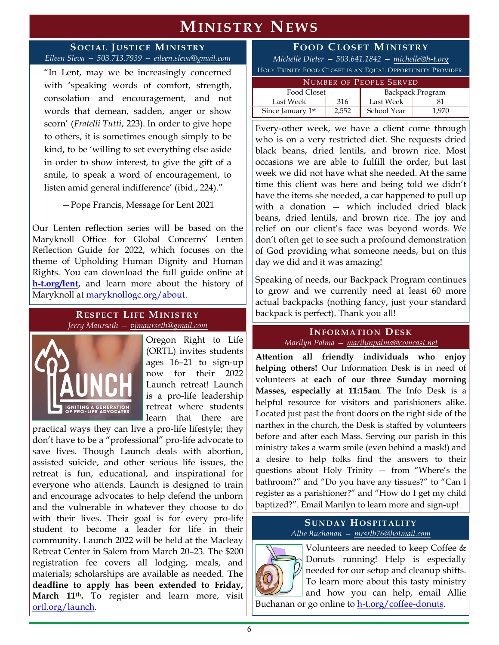### **MINISTRY NEWS**

#### **S OCIAL JUSTICE MINISTRY** *Eileen Sleva — 503.713.7939 — [eileen.sleva@gmail.com](mailto:eileen.sleva@gmail.com)*

"In Lent, may we be increasingly concerned with 'speaking words of comfort, strength, consolation and encouragement, and not words that demean, sadden, anger or show scorn' (*Fratelli Tutti*, 223). In order to give hope to others, it is sometimes enough simply to be kind, to be 'willing to set everything else aside in order to show interest, to give the gift of a smile, to speak a word of encouragement, to listen amid general indifference' (ibid., 224)."

—Pope Francis, Message for Lent 2021

Our Lenten reflection series will be based on the Maryknoll Office for Global Concerns' Lenten Reflection Guide for 2022, which focuses on the theme of Upholding Human Dignity and Human Rights. You can download the full guide online at **[h-t.org/lent](https://www.h-t.org/lent)**, and learn more about the history of Maryknoll at [maryknollogc.org/about.](https://maryknollogc.org/about)

#### **RESPECT LIFE MINISTRY** *Jerry Maurseth — [vjmaurseth@gmail.com](mailto:vjmaurseth@gmail.com)*



Oregon Right to Life (ORTL) invites students ages 16–21 to sign-up now for their 2022 Launch retreat! Launch is a pro-life leadership retreat where students learn that there are

practical ways they can live a pro-life lifestyle; they don't have to be a "professional" pro-life advocate to save lives. Though Launch deals with abortion, assisted suicide, and other serious life issues, the retreat is fun, educational, and inspirational for everyone who attends. Laun*c*h is designed to train and encourage advocates to help defend the unborn and the vulnerable in whatever they choose to do with their lives. Their goal is for every pro-life student to become a leader for life in their community. Launch 2022 will be held at the Macleay Retreat Center in Salem from March 20–23. The \$200 registration fee covers all lodging, meals, and materials; scholarships are available as needed. **The deadline to apply has been extended to Friday, March 11th.** To register and learn more, visit [ortl.org/launch.](https://www.ortl.org/launch)

#### **F OOD CLOSET MINISTRY**

*Michelle Dieter — 503.641.1842 — [michelle@h-t.org](mailto:michelle@h-t.org)* HOLY TRINITY FOOD CLOSET IS AN EQUAL OPPORTUNITY PROVID

| NUMBER OF PEOPLE SERVED |       |                  |       |
|-------------------------|-------|------------------|-------|
| Food Closet             |       | Backpack Program |       |
| Last Week               | 316   | Last Week        |       |
| Since January 1st       | 2.552 | School Year      | 1.970 |

Every-other week, we have a client come through who is on a very restricted diet. She requests dried black beans, dried lentils, and brown rice. Most occasions we are able to fulfill the order, but last week we did not have what she needed. At the same time this client was here and being told we didn't have the items she needed, a car happened to pull up with a donation — which included dried black beans, dried lentils, and brown rice. The joy and relief on our client's face was beyond words. We don't often get to see such a profound demonstration of God providing what someone needs, but on this day we did and it was amazing!

Speaking of needs, our Backpack Program continues to grow and we currently need at least 60 more actual backpacks (nothing fancy, just your standard backpack is perfect). Thank you all!

#### **I NFORMATION DESK** *Marilyn Palma — [marilynpalma@comcast.net](mailto:marilynpalma@comcast.net)*

**Attention all friendly individuals who enjoy helping others!** Our Information Desk is in need of volunteers at **each of our three Sunday morning Masses, especially at 11:15am**. The Info Desk is a helpful resource for visitors and parishioners alike. Located just past the front doors on the right side of the narthex in the church, the Desk is staffed by volunteers before and after each Mass. Serving our parish in this ministry takes a warm smile (even behind a mask!) and a desire to help folks find the answers to their questions about Holy Trinity — from "Where's the bathroom?" and "Do you have any tissues?" to "Can I register as a parishioner?" and "How do I get my child baptized?". Email Marilyn to learn more and sign-up!

#### **SUNDAY HOSPITAL ITY** *Allie Buchanan — [mrsrlb76@hotmail.com](mailto:mrsrlb76@hotmail.com)*



Volunteers are needed to keep Coffee & Donuts running! Help is especially needed for our setup and cleanup shifts. To learn more about this tasty ministry and how you can help, email Allie

Buchanan or go online to [h-t.org/coffee-donuts.](https://www.h-t.org/sunday-hospitality)